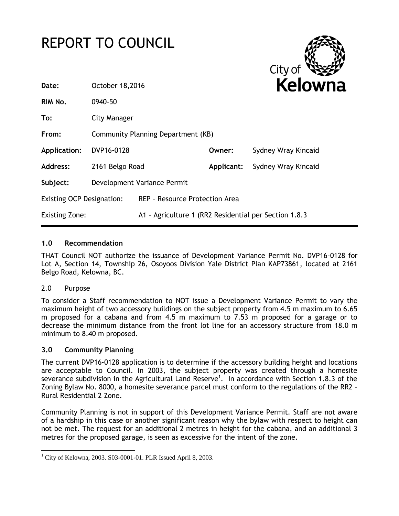# REPORT TO COUNCIL



| Date:                            | October 18,2016 |                                                        |            | <b>Kelow</b>        |  |  |  |
|----------------------------------|-----------------|--------------------------------------------------------|------------|---------------------|--|--|--|
| RIM No.                          | 0940-50         |                                                        |            |                     |  |  |  |
| To:                              | City Manager    |                                                        |            |                     |  |  |  |
| From:                            |                 | Community Planning Department (KB)                     |            |                     |  |  |  |
| Application:                     | DVP16-0128      |                                                        | Owner:     | Sydney Wray Kincaid |  |  |  |
| Address:                         | 2161 Belgo Road |                                                        | Applicant: | Sydney Wray Kincaid |  |  |  |
| Subject:                         |                 | Development Variance Permit                            |            |                     |  |  |  |
| <b>Existing OCP Designation:</b> |                 | REP - Resource Protection Area                         |            |                     |  |  |  |
| <b>Existing Zone:</b>            |                 | A1 - Agriculture 1 (RR2 Residential per Section 1.8.3) |            |                     |  |  |  |
|                                  |                 |                                                        |            |                     |  |  |  |

## **1.0 Recommendation**

THAT Council NOT authorize the issuance of Development Variance Permit No. DVP16-0128 for Lot A, Section 14, Township 26, Osoyoos Division Yale District Plan KAP73861, located at 2161 Belgo Road, Kelowna, BC.

## 2.0 Purpose

1

To consider a Staff recommendation to NOT issue a Development Variance Permit to vary the maximum height of two accessory buildings on the subject property from 4.5 m maximum to 6.65 m proposed for a cabana and from 4.5 m maximum to 7.53 m proposed for a garage or to decrease the minimum distance from the front lot line for an accessory structure from 18.0 m minimum to 8.40 m proposed.

## **3.0 Community Planning**

The current DVP16-0128 application is to determine if the accessory building height and locations are acceptable to Council. In 2003, the subject property was created through a homesite severance subdivision in the Agricultural Land Reserve<sup>1</sup>. In accordance with Section 1.8.3 of the Zoning Bylaw No. 8000, a homesite severance parcel must conform to the regulations of the RR2 – Rural Residential 2 Zone.

Community Planning is not in support of this Development Variance Permit. Staff are not aware of a hardship in this case or another significant reason why the bylaw with respect to height can not be met. The request for an additional 2 metres in height for the cabana, and an additional 3 metres for the proposed garage, is seen as excessive for the intent of the zone.

 $1$  City of Kelowna, 2003. S03-0001-01. PLR Issued April 8, 2003.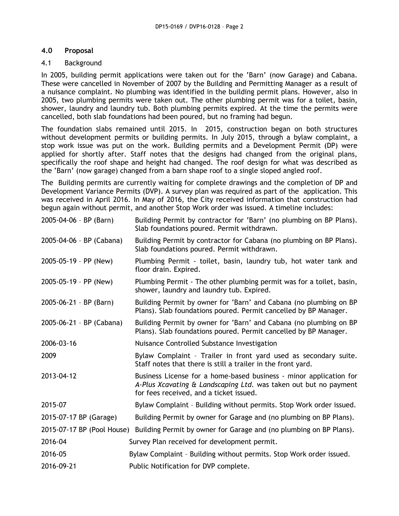# **4.0 Proposal**

# 4.1 Background

In 2005, building permit applications were taken out for the 'Barn' (now Garage) and Cabana. These were cancelled in November of 2007 by the Building and Permitting Manager as a result of a nuisance complaint. No plumbing was identified in the building permit plans. However, also in 2005, two plumbing permits were taken out. The other plumbing permit was for a toilet, basin, shower, laundry and laundry tub. Both plumbing permits expired. At the time the permits were cancelled, both slab foundations had been poured, but no framing had begun.

The foundation slabs remained until 2015. In 2015, construction began on both structures without development permits or building permits. In July 2015, through a bylaw complaint, a stop work issue was put on the work. Building permits and a Development Permit (DP) were applied for shortly after. Staff notes that the designs had changed from the original plans, specifically the roof shape and height had changed. The roof design for what was described as the 'Barn' (now garage) changed from a barn shape roof to a single sloped angled roof.

The Building permits are currently waiting for complete drawings and the completion of DP and Development Variance Permits (DVP). A survey plan was required as part of the application. This was received in April 2016. In May of 2016, the City received information that construction had begun again without permit, and another Stop Work order was issued. A timeline includes:

| 2005-04-06 - BP (Barn)       | Building Permit by contractor for 'Barn' (no plumbing on BP Plans).<br>Slab foundations poured. Permit withdrawn.                                                                 |  |  |  |
|------------------------------|-----------------------------------------------------------------------------------------------------------------------------------------------------------------------------------|--|--|--|
| 2005-04-06 - BP (Cabana)     | Building Permit by contractor for Cabana (no plumbing on BP Plans).<br>Slab foundations poured. Permit withdrawn.                                                                 |  |  |  |
| $2005 - 05 - 19 - PP$ (New)  | Plumbing Permit - toilet, basin, laundry tub, hot water tank and<br>floor drain. Expired.                                                                                         |  |  |  |
| 2005-05-19 - PP (New)        | Plumbing Permit - The other plumbing permit was for a toilet, basin,<br>shower, laundry and laundry tub. Expired.                                                                 |  |  |  |
| $2005 - 06 - 21 - BP$ (Barn) | Building Permit by owner for 'Barn' and Cabana (no plumbing on BP<br>Plans). Slab foundations poured. Permit cancelled by BP Manager.                                             |  |  |  |
| 2005-06-21 - BP (Cabana)     | Building Permit by owner for 'Barn' and Cabana (no plumbing on BP<br>Plans). Slab foundations poured. Permit cancelled by BP Manager.                                             |  |  |  |
| 2006-03-16                   | Nuisance Controlled Substance Investigation                                                                                                                                       |  |  |  |
| 2009                         | Bylaw Complaint - Trailer in front yard used as secondary suite.<br>Staff notes that there is still a trailer in the front yard.                                                  |  |  |  |
| 2013-04-12                   | Business License for a home-based business - minor application for<br>A-Plus Xcavating & Landscaping Ltd. was taken out but no payment<br>for fees received, and a ticket issued. |  |  |  |
| 2015-07                      | Bylaw Complaint - Building without permits. Stop Work order issued.                                                                                                               |  |  |  |
| 2015-07-17 BP (Garage)       | Building Permit by owner for Garage and (no plumbing on BP Plans).                                                                                                                |  |  |  |
|                              | 2015-07-17 BP (Pool House) Building Permit by owner for Garage and (no plumbing on BP Plans).                                                                                     |  |  |  |
| 2016-04                      | Survey Plan received for development permit.                                                                                                                                      |  |  |  |
| 2016-05                      | Bylaw Complaint - Building without permits. Stop Work order issued.                                                                                                               |  |  |  |
| 2016-09-21                   | Public Notification for DVP complete.                                                                                                                                             |  |  |  |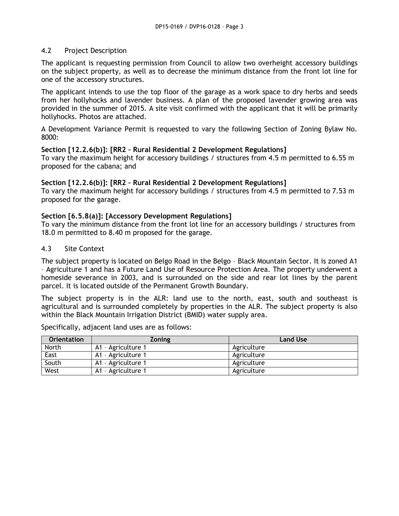## 4.2 Project Description

The applicant is requesting permission from Council to allow two overheight accessory buildings on the subject property, as well as to decrease the minimum distance from the front lot line for one of the accessory structures.

The applicant intends to use the top floor of the garage as a work space to dry herbs and seeds from her hollyhocks and lavender business. A plan of the proposed lavender growing area was provided in the summer of 2015. A site visit confirmed with the applicant that it will be primarily hollyhocks. Photos are attached.

A Development Variance Permit is requested to vary the following Section of Zoning Bylaw No. 8000:

#### **Section [12.2.6(b)]: [RR2 – Rural Residential 2 Development Regulations]**

To vary the maximum height for accessory buildings / structures from 4.5 m permitted to 6.55 m proposed for the cabana; and

#### **Section [12.2.6(b)]: [RR2 – Rural Residential 2 Development Regulations]**

To vary the maximum height for accessory buildings / structures from 4.5 m permitted to 7.53 m proposed for the garage.

## **Section [6.5.8(a)]: [Accessory Development Regulations]**

To vary the minimum distance from the front lot line for an accessory buildings / structures from 18.0 m permitted to 8.40 m proposed for the garage.

#### 4.3 Site Context

The subject property is located on Belgo Road in the Belgo – Black Mountain Sector. It is zoned A1 – Agriculture 1 and has a Future Land Use of Resource Protection Area. The property underwent a homeside severance in 2003, and is surrounded on the side and rear lot lines by the parent parcel. It is located outside of the Permanent Growth Boundary.

The subject property is in the ALR: land use to the north, east, south and southeast is agricultural and is surrounded completely by properties in the ALR. The subject property is also within the Black Mountain Irrigation District (BMID) water supply area.

Specifically, adjacent land uses are as follows:

| <b>Orientation</b> | <b>Zoning</b>      | <b>Land Use</b> |
|--------------------|--------------------|-----------------|
| North              | A1 - Agriculture 1 | Agriculture     |
| East               | A1 - Agriculture 1 | Agriculture     |
| South              | A1 - Agriculture 1 | Agriculture     |
| West               | A1 - Agriculture 1 | Agriculture     |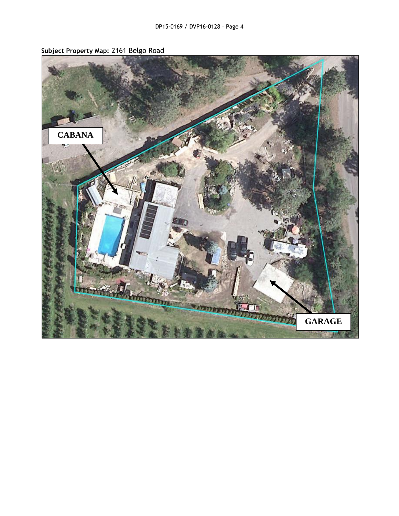

**Subject Property Map:** 2161 Belgo Road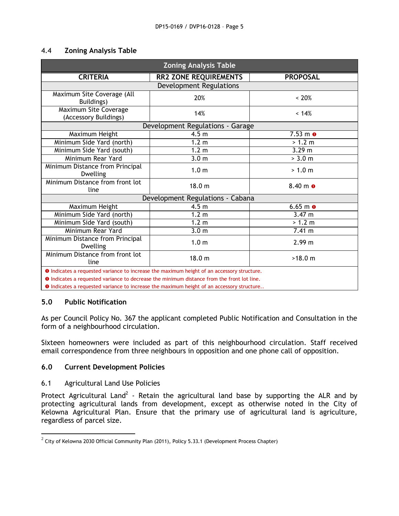#### 4.4 **Zoning Analysis Table**

| <b>Zoning Analysis Table</b>                                                                      |                              |                            |  |  |  |
|---------------------------------------------------------------------------------------------------|------------------------------|----------------------------|--|--|--|
| <b>CRITERIA</b>                                                                                   | <b>RR2 ZONE REQUIREMENTS</b> | <b>PROPOSAL</b>            |  |  |  |
| <b>Development Regulations</b>                                                                    |                              |                            |  |  |  |
| Maximum Site Coverage (All<br>Buildings)                                                          | 20%                          | ~< 20%                     |  |  |  |
| Maximum Site Coverage<br>(Accessory Buildings)                                                    | 14%<br>< 14%                 |                            |  |  |  |
| Development Regulations - Garage                                                                  |                              |                            |  |  |  |
| Maximum Height                                                                                    | 4.5 <sub>m</sub>             | $7.53 \text{ m}$ $\bullet$ |  |  |  |
| Minimum Side Yard (north)                                                                         | 1.2 <sub>m</sub>             | > 1.2 m                    |  |  |  |
| Minimum Side Yard (south)                                                                         | 1.2 <sub>m</sub>             | 3.29 m                     |  |  |  |
| Minimum Rear Yard                                                                                 | 3.0 <sub>m</sub>             | > 3.0 m                    |  |  |  |
| Minimum Distance from Principal<br><b>Dwelling</b>                                                | 1.0 <sub>m</sub>             | > 1.0 m                    |  |  |  |
| Minimum Distance from front lot<br>line                                                           | 18.0 <sub>m</sub>            | $8.40 \; \text{m}$ 0       |  |  |  |
| Development Regulations - Cabana                                                                  |                              |                            |  |  |  |
| Maximum Height                                                                                    | 4.5 <sub>m</sub>             | $6.65 \, \text{m}$ 0       |  |  |  |
| Minimum Side Yard (north)                                                                         | 1.2 <sub>m</sub>             | $3.47 \; m$                |  |  |  |
| Minimum Side Yard (south)                                                                         | 1.2 <sub>m</sub>             | > 1.2 m                    |  |  |  |
| Minimum Rear Yard                                                                                 | 3.0 <sub>m</sub>             | 7.41 m                     |  |  |  |
| Minimum Distance from Principal<br><b>Dwelling</b>                                                | 1.0 <sub>m</sub>             | 2.99 m                     |  |  |  |
| Minimum Distance from front lot<br>line                                                           | 18.0 <sub>m</sub>            | >18.0 m                    |  |  |  |
| <b>O</b> Indicates a requested variance to increase the maximum height of an accessory structure. |                              |                            |  |  |  |

**O** Indicates a requested variance to decrease the minimum distance from the front lot line.

 $\bullet$  Indicates a requested variance to increase the maximum height of an accessory structure..

## **5.0 Public Notification**

As per Council Policy No. 367 the applicant completed Public Notification and Consultation in the form of a neighbourhood circulation.

Sixteen homeowners were included as part of this neighbourhood circulation. Staff received email correspondence from three neighbours in opposition and one phone call of opposition.

#### **6.0 Current Development Policies**

## 6.1 Agricultural Land Use Policies

Protect Agricultural Land<sup>2</sup> - Retain the agricultural land base by supporting the ALR and by protecting agricultural lands from development, except as otherwise noted in the City of Kelowna Agricultural Plan. Ensure that the primary use of agricultural land is agriculture, regardless of parcel size.

 2 City of Kelowna 2030 Official Community Plan (2011), Policy 5.33.1 (Development Process Chapter)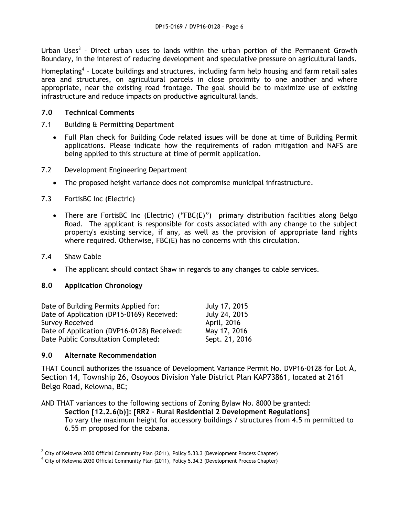Urban Uses<sup>3</sup> - Direct urban uses to lands within the urban portion of the Permanent Growth Boundary, in the interest of reducing development and speculative pressure on agricultural lands.

Homeplating<sup>4</sup> - Locate buildings and structures, including farm help housing and farm retail sales area and structures, on agricultural parcels in close proximity to one another and where appropriate, near the existing road frontage. The goal should be to maximize use of existing infrastructure and reduce impacts on productive agricultural lands.

## **7.0 Technical Comments**

- 7.1 Building & Permitting Department
	- Full Plan check for Building Code related issues will be done at time of Building Permit applications. Please indicate how the requirements of radon mitigation and NAFS are being applied to this structure at time of permit application.
- 7.2 Development Engineering Department
	- The proposed height variance does not compromise municipal infrastructure.
- 7.3 FortisBC Inc (Electric)
	- There are FortisBC Inc (Electric) ("FBC(E)") primary distribution facilities along Belgo Road. The applicant is responsible for costs associated with any change to the subject property's existing service, if any, as well as the provision of appropriate land rights where required. Otherwise, FBC(E) has no concerns with this circulation.
- 7.4 Shaw Cable
	- The applicant should contact Shaw in regards to any changes to cable services.

# **8.0 Application Chronology**

| Date of Building Permits Applied for:      | July 17, 2015  |
|--------------------------------------------|----------------|
| Date of Application (DP15-0169) Received:  | July 24, 2015  |
| <b>Survey Received</b>                     | April, 2016    |
| Date of Application (DVP16-0128) Received: | May 17, 2016   |
| Date Public Consultation Completed:        | Sept. 21, 2016 |

## **9.0 Alternate Recommendation**

THAT Council authorizes the issuance of Development Variance Permit No. DVP16-0128 for Lot A, Section 14, Township 26, Osoyoos Division Yale District Plan KAP73861, located at 2161 Belgo Road, Kelowna, BC;

AND THAT variances to the following sections of Zoning Bylaw No. 8000 be granted: **Section [12.2.6(b)]: [RR2 – Rural Residential 2 Development Regulations]**  To vary the maximum height for accessory buildings / structures from 4.5 m permitted to 6.55 m proposed for the cabana.

 3 City of Kelowna 2030 Official Community Plan (2011), Policy 5.33.3 (Development Process Chapter)

 $^4$  City of Kelowna 2030 Official Community Plan (2011), Policy 5.34.3 (Development Process Chapter)